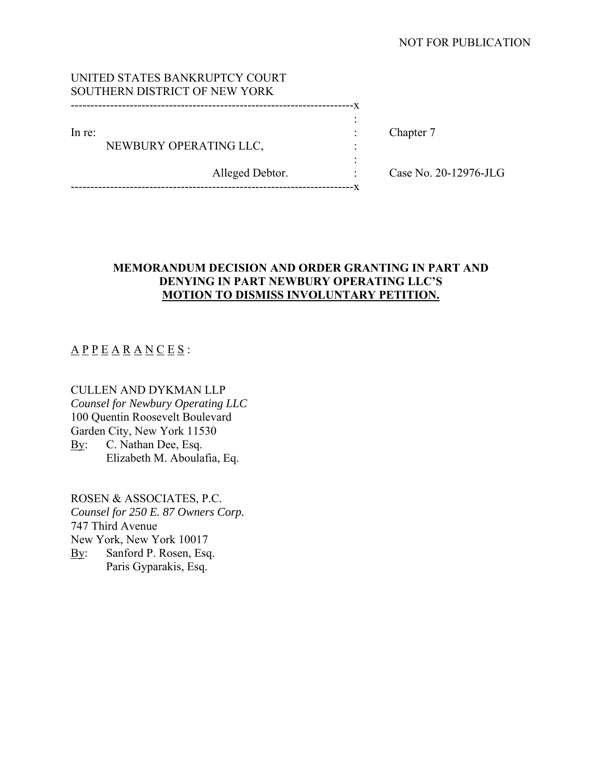## NOT FOR PUBLICATION

|        | UNITED STATES BANKRUPTCY COURT |  |
|--------|--------------------------------|--|
|        | SOUTHERN DISTRICT OF NEW YORK  |  |
|        |                                |  |
|        |                                |  |
| In re: |                                |  |
|        | NEWBURY OPERATING LLC,         |  |
|        |                                |  |

------------------------------------------------------------------------x

Chapter 7

Alleged Debtor. : Case No. 20-12976-JLG

## **MEMORANDUM DECISION AND ORDER GRANTING IN PART AND DENYING IN PART NEWBURY OPERATING LLC'S MOTION TO DISMISS INVOLUNTARY PETITION.**

# $\underline{A} \underline{P} \underline{P} \underline{E} \underline{A} \underline{R} \underline{A} \underline{N} \underline{C} \underline{E} \underline{S}$ :

CULLEN AND DYKMAN LLP *Counsel for Newbury Operating LLC* 100 Quentin Roosevelt Boulevard Garden City, New York 11530 By: C. Nathan Dee, Esq. Elizabeth M. Aboulafia, Eq.

ROSEN & ASSOCIATES, P.C. *Counsel for 250 E. 87 Owners Corp.*  747 Third Avenue New York, New York 10017 By: Sanford P. Rosen, Esq. Paris Gyparakis, Esq.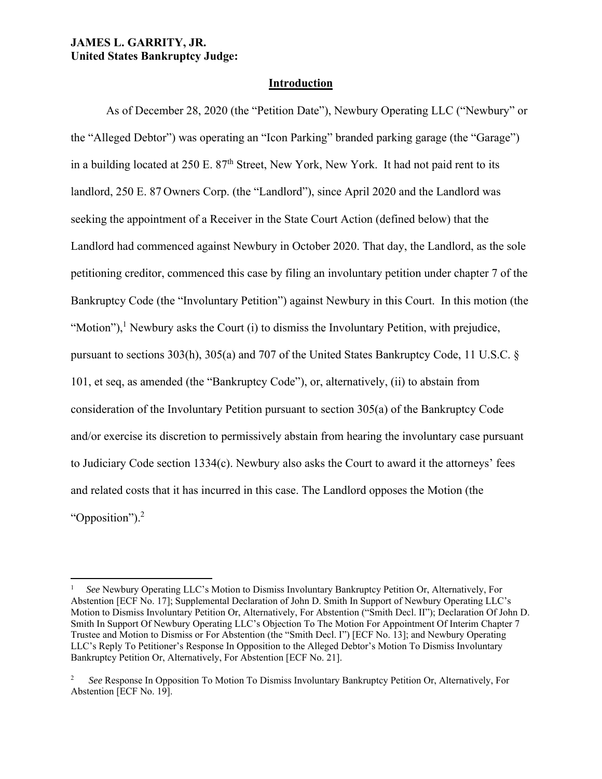### **JAMES L. GARRITY, JR. United States Bankruptcy Judge:**

## **Introduction**

As of December 28, 2020 (the "Petition Date"), Newbury Operating LLC ("Newbury" or the "Alleged Debtor") was operating an "Icon Parking" branded parking garage (the "Garage") in a building located at  $250$  E.  $87<sup>th</sup>$  Street, New York, New York. It had not paid rent to its landlord, 250 E. 87 Owners Corp. (the "Landlord"), since April 2020 and the Landlord was seeking the appointment of a Receiver in the State Court Action (defined below) that the Landlord had commenced against Newbury in October 2020. That day, the Landlord, as the sole petitioning creditor, commenced this case by filing an involuntary petition under chapter 7 of the Bankruptcy Code (the "Involuntary Petition") against Newbury in this Court. In this motion (the "Motion"),<sup>1</sup> Newbury asks the Court (i) to dismiss the Involuntary Petition, with prejudice, pursuant to sections 303(h), 305(a) and 707 of the United States Bankruptcy Code, 11 U.S.C. § 101, et seq, as amended (the "Bankruptcy Code"), or, alternatively, (ii) to abstain from consideration of the Involuntary Petition pursuant to section 305(a) of the Bankruptcy Code and/or exercise its discretion to permissively abstain from hearing the involuntary case pursuant to Judiciary Code section 1334(c). Newbury also asks the Court to award it the attorneys' fees and related costs that it has incurred in this case. The Landlord opposes the Motion (the "Opposition").<sup>2</sup>

<sup>1</sup> *See* Newbury Operating LLC's Motion to Dismiss Involuntary Bankruptcy Petition Or, Alternatively, For Abstention [ECF No. 17]; Supplemental Declaration of John D. Smith In Support of Newbury Operating LLC's Motion to Dismiss Involuntary Petition Or, Alternatively, For Abstention ("Smith Decl. II"); Declaration Of John D. Smith In Support Of Newbury Operating LLC's Objection To The Motion For Appointment Of Interim Chapter 7 Trustee and Motion to Dismiss or For Abstention (the "Smith Decl. I") [ECF No. 13]; and Newbury Operating LLC's Reply To Petitioner's Response In Opposition to the Alleged Debtor's Motion To Dismiss Involuntary Bankruptcy Petition Or, Alternatively, For Abstention [ECF No. 21].

<sup>2</sup> *See* Response In Opposition To Motion To Dismiss Involuntary Bankruptcy Petition Or, Alternatively, For Abstention [ECF No. 19].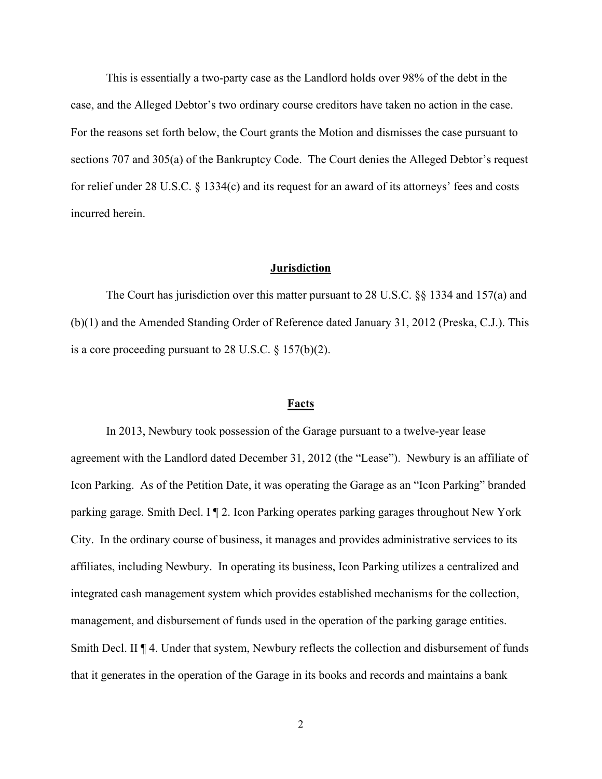This is essentially a two-party case as the Landlord holds over 98% of the debt in the case, and the Alleged Debtor's two ordinary course creditors have taken no action in the case. For the reasons set forth below, the Court grants the Motion and dismisses the case pursuant to sections 707 and 305(a) of the Bankruptcy Code. The Court denies the Alleged Debtor's request for relief under 28 U.S.C. § 1334(c) and its request for an award of its attorneys' fees and costs incurred herein.

#### **Jurisdiction**

 The Court has jurisdiction over this matter pursuant to 28 U.S.C. §§ 1334 and 157(a) and (b)(1) and the Amended Standing Order of Reference dated January 31, 2012 (Preska, C.J.). This is a core proceeding pursuant to 28 U.S.C. § 157(b)(2).

#### **Facts**

In 2013, Newbury took possession of the Garage pursuant to a twelve-year lease agreement with the Landlord dated December 31, 2012 (the "Lease"). Newbury is an affiliate of Icon Parking. As of the Petition Date, it was operating the Garage as an "Icon Parking" branded parking garage. Smith Decl. I ¶ 2. Icon Parking operates parking garages throughout New York City. In the ordinary course of business, it manages and provides administrative services to its affiliates, including Newbury. In operating its business, Icon Parking utilizes a centralized and integrated cash management system which provides established mechanisms for the collection, management, and disbursement of funds used in the operation of the parking garage entities. Smith Decl. II ¶ 4. Under that system, Newbury reflects the collection and disbursement of funds that it generates in the operation of the Garage in its books and records and maintains a bank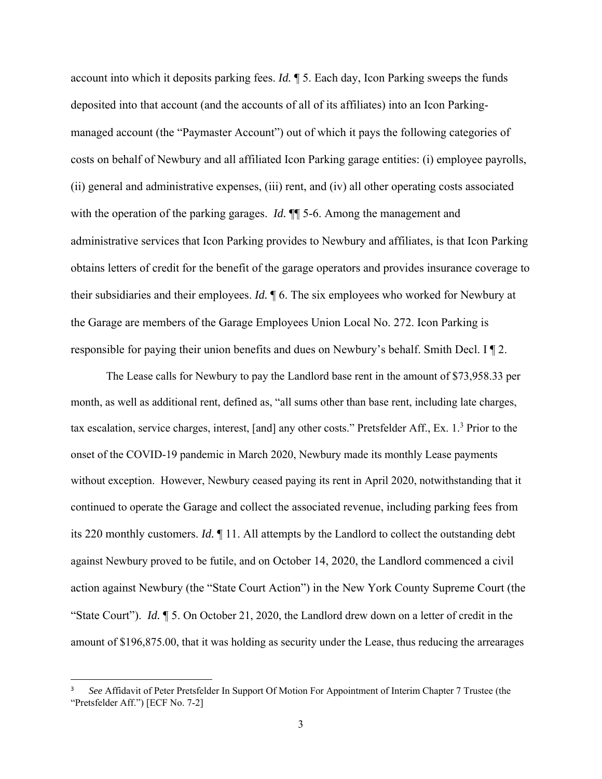account into which it deposits parking fees. *Id.* ¶ 5. Each day, Icon Parking sweeps the funds deposited into that account (and the accounts of all of its affiliates) into an Icon Parkingmanaged account (the "Paymaster Account") out of which it pays the following categories of costs on behalf of Newbury and all affiliated Icon Parking garage entities: (i) employee payrolls, (ii) general and administrative expenses, (iii) rent, and (iv) all other operating costs associated with the operation of the parking garages. *Id.*  $\P$  5-6. Among the management and administrative services that Icon Parking provides to Newbury and affiliates, is that Icon Parking obtains letters of credit for the benefit of the garage operators and provides insurance coverage to their subsidiaries and their employees. *Id.* ¶ 6. The six employees who worked for Newbury at the Garage are members of the Garage Employees Union Local No. 272. Icon Parking is responsible for paying their union benefits and dues on Newbury's behalf. Smith Decl. I ¶ 2.

 The Lease calls for Newbury to pay the Landlord base rent in the amount of \$73,958.33 per month, as well as additional rent, defined as, "all sums other than base rent, including late charges, tax escalation, service charges, interest, [and] any other costs." Pretsfelder Aff., Ex. 1.<sup>3</sup> Prior to the onset of the COVID-19 pandemic in March 2020, Newbury made its monthly Lease payments without exception. However, Newbury ceased paying its rent in April 2020, notwithstanding that it continued to operate the Garage and collect the associated revenue, including parking fees from its 220 monthly customers. *Id.* ¶ 11. All attempts by the Landlord to collect the outstanding debt against Newbury proved to be futile, and on October 14, 2020, the Landlord commenced a civil action against Newbury (the "State Court Action") in the New York County Supreme Court (the "State Court"). *Id.* ¶ 5. On October 21, 2020, the Landlord drew down on a letter of credit in the amount of \$196,875.00, that it was holding as security under the Lease, thus reducing the arrearages

<sup>3</sup> *See* Affidavit of Peter Pretsfelder In Support Of Motion For Appointment of Interim Chapter 7 Trustee (the "Pretsfelder Aff.") [ECF No. 7-2]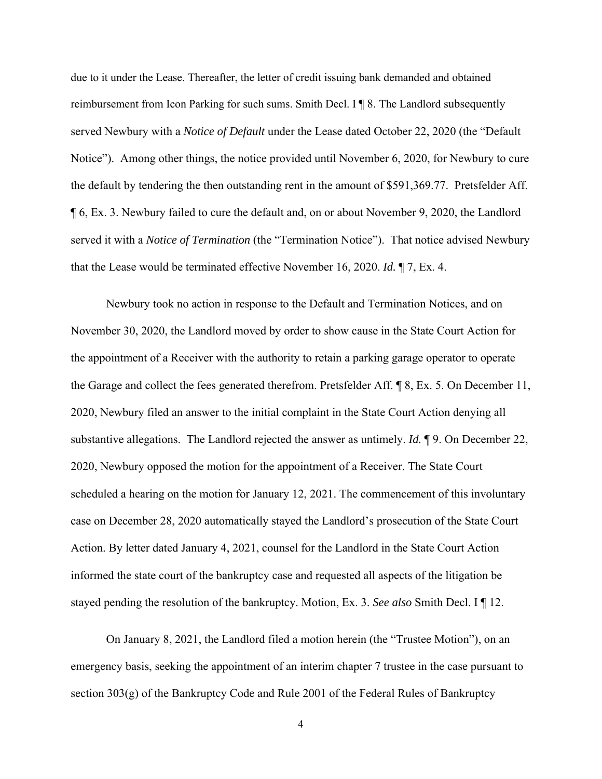due to it under the Lease. Thereafter, the letter of credit issuing bank demanded and obtained reimbursement from Icon Parking for such sums. Smith Decl. I ¶ 8. The Landlord subsequently served Newbury with a *Notice of Default* under the Lease dated October 22, 2020 (the "Default Notice"). Among other things, the notice provided until November 6, 2020, for Newbury to cure the default by tendering the then outstanding rent in the amount of \$591,369.77. Pretsfelder Aff. ¶ 6, Ex. 3. Newbury failed to cure the default and, on or about November 9, 2020, the Landlord served it with a *Notice of Termination* (the "Termination Notice"). That notice advised Newbury that the Lease would be terminated effective November 16, 2020. *Id.* ¶ 7, Ex. 4.

 Newbury took no action in response to the Default and Termination Notices, and on November 30, 2020, the Landlord moved by order to show cause in the State Court Action for the appointment of a Receiver with the authority to retain a parking garage operator to operate the Garage and collect the fees generated therefrom. Pretsfelder Aff. ¶ 8, Ex. 5. On December 11, 2020, Newbury filed an answer to the initial complaint in the State Court Action denying all substantive allegations. The Landlord rejected the answer as untimely. *Id.* ¶ 9. On December 22, 2020, Newbury opposed the motion for the appointment of a Receiver. The State Court scheduled a hearing on the motion for January 12, 2021. The commencement of this involuntary case on December 28, 2020 automatically stayed the Landlord's prosecution of the State Court Action. By letter dated January 4, 2021, counsel for the Landlord in the State Court Action informed the state court of the bankruptcy case and requested all aspects of the litigation be stayed pending the resolution of the bankruptcy. Motion, Ex. 3. *See also* Smith Decl. I ¶ 12.

On January 8, 2021, the Landlord filed a motion herein (the "Trustee Motion"), on an emergency basis, seeking the appointment of an interim chapter 7 trustee in the case pursuant to section 303(g) of the Bankruptcy Code and Rule 2001 of the Federal Rules of Bankruptcy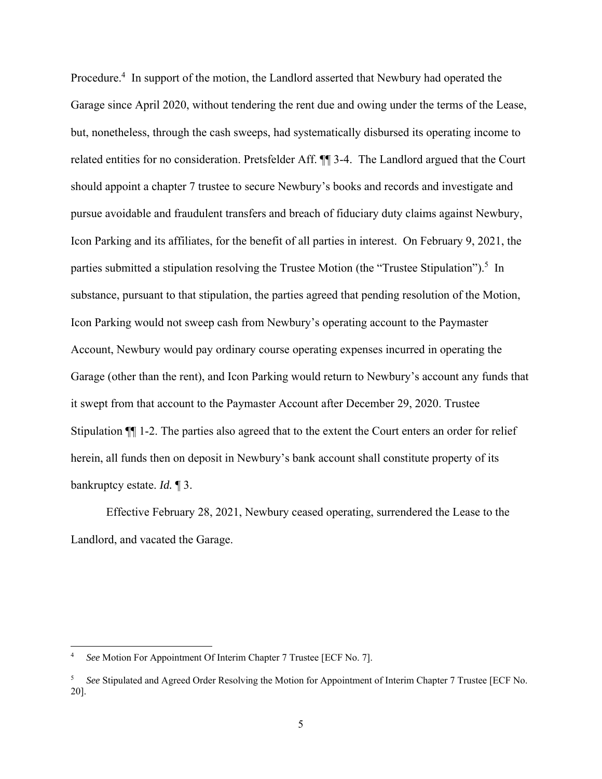Procedure.<sup>4</sup> In support of the motion, the Landlord asserted that Newbury had operated the Garage since April 2020, without tendering the rent due and owing under the terms of the Lease, but, nonetheless, through the cash sweeps, had systematically disbursed its operating income to related entities for no consideration. Pretsfelder Aff. ¶¶ 3-4. The Landlord argued that the Court should appoint a chapter 7 trustee to secure Newbury's books and records and investigate and pursue avoidable and fraudulent transfers and breach of fiduciary duty claims against Newbury, Icon Parking and its affiliates, for the benefit of all parties in interest. On February 9, 2021, the parties submitted a stipulation resolving the Trustee Motion (the "Trustee Stipulation").<sup>5</sup> In substance, pursuant to that stipulation, the parties agreed that pending resolution of the Motion, Icon Parking would not sweep cash from Newbury's operating account to the Paymaster Account, Newbury would pay ordinary course operating expenses incurred in operating the Garage (other than the rent), and Icon Parking would return to Newbury's account any funds that it swept from that account to the Paymaster Account after December 29, 2020. Trustee Stipulation ¶¶ 1-2. The parties also agreed that to the extent the Court enters an order for relief herein, all funds then on deposit in Newbury's bank account shall constitute property of its bankruptcy estate. *Id.* ¶ 3.

Effective February 28, 2021, Newbury ceased operating, surrendered the Lease to the Landlord, and vacated the Garage.

<sup>4</sup> *See* Motion For Appointment Of Interim Chapter 7 Trustee [ECF No. 7].

<sup>5</sup> *See* Stipulated and Agreed Order Resolving the Motion for Appointment of Interim Chapter 7 Trustee [ECF No. 20].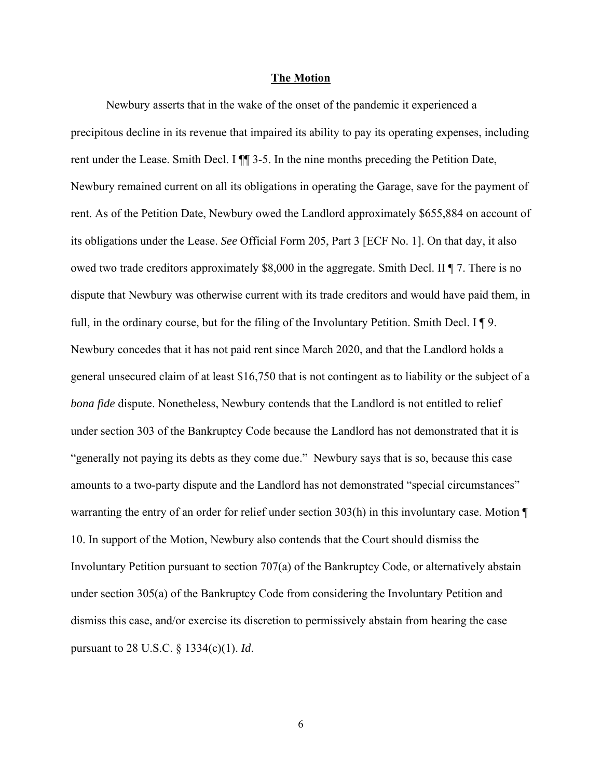#### **The Motion**

 Newbury asserts that in the wake of the onset of the pandemic it experienced a precipitous decline in its revenue that impaired its ability to pay its operating expenses, including rent under the Lease. Smith Decl. I ¶¶ 3-5. In the nine months preceding the Petition Date, Newbury remained current on all its obligations in operating the Garage, save for the payment of rent. As of the Petition Date, Newbury owed the Landlord approximately \$655,884 on account of its obligations under the Lease. *See* Official Form 205, Part 3 [ECF No. 1]. On that day, it also owed two trade creditors approximately \$8,000 in the aggregate. Smith Decl. II ¶ 7. There is no dispute that Newbury was otherwise current with its trade creditors and would have paid them, in full, in the ordinary course, but for the filing of the Involuntary Petition. Smith Decl. I ¶ 9. Newbury concedes that it has not paid rent since March 2020, and that the Landlord holds a general unsecured claim of at least \$16,750 that is not contingent as to liability or the subject of a *bona fide* dispute. Nonetheless, Newbury contends that the Landlord is not entitled to relief under section 303 of the Bankruptcy Code because the Landlord has not demonstrated that it is "generally not paying its debts as they come due." Newbury says that is so, because this case amounts to a two-party dispute and the Landlord has not demonstrated "special circumstances" warranting the entry of an order for relief under section 303(h) in this involuntary case. Motion ¶ 10. In support of the Motion, Newbury also contends that the Court should dismiss the Involuntary Petition pursuant to section 707(a) of the Bankruptcy Code, or alternatively abstain under section 305(a) of the Bankruptcy Code from considering the Involuntary Petition and dismiss this case, and/or exercise its discretion to permissively abstain from hearing the case pursuant to 28 U.S.C. § 1334(c)(1). *Id*.

6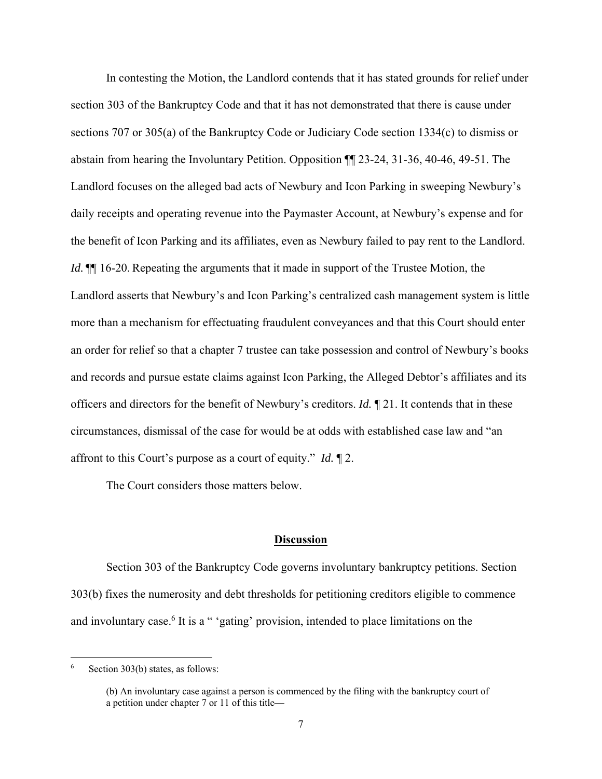In contesting the Motion, the Landlord contends that it has stated grounds for relief under section 303 of the Bankruptcy Code and that it has not demonstrated that there is cause under sections 707 or 305(a) of the Bankruptcy Code or Judiciary Code section 1334(c) to dismiss or abstain from hearing the Involuntary Petition. Opposition ¶¶ 23-24, 31-36, 40-46, 49-51. The Landlord focuses on the alleged bad acts of Newbury and Icon Parking in sweeping Newbury's daily receipts and operating revenue into the Paymaster Account, at Newbury's expense and for the benefit of Icon Parking and its affiliates, even as Newbury failed to pay rent to the Landlord. *Id.*  $\P$  16-20. Repeating the arguments that it made in support of the Trustee Motion, the Landlord asserts that Newbury's and Icon Parking's centralized cash management system is little more than a mechanism for effectuating fraudulent conveyances and that this Court should enter an order for relief so that a chapter 7 trustee can take possession and control of Newbury's books and records and pursue estate claims against Icon Parking, the Alleged Debtor's affiliates and its officers and directors for the benefit of Newbury's creditors. *Id.* ¶ 21. It contends that in these circumstances, dismissal of the case for would be at odds with established case law and "an affront to this Court's purpose as a court of equity." *Id.* ¶ 2.

The Court considers those matters below.

#### **Discussion**

Section 303 of the Bankruptcy Code governs involuntary bankruptcy petitions. Section 303(b) fixes the numerosity and debt thresholds for petitioning creditors eligible to commence and involuntary case.<sup>6</sup> It is a " 'gating' provision, intended to place limitations on the

<sup>6</sup> Section 303(b) states, as follows:

<sup>(</sup>b) An involuntary case against a person is commenced by the filing with the bankruptcy court of a petition under chapter 7 or 11 of this title—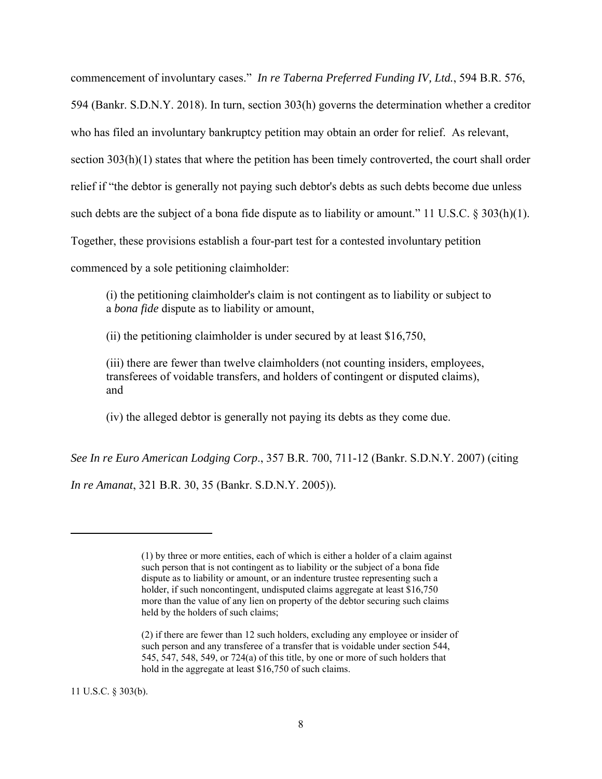commencement of involuntary cases." *In re Taberna Preferred Funding IV, Ltd.*, 594 B.R. 576, 594 (Bankr. S.D.N.Y. 2018). In turn, section 303(h) governs the determination whether a creditor who has filed an involuntary bankruptcy petition may obtain an order for relief. As relevant, section 303(h)(1) states that where the petition has been timely controverted, the court shall order relief if "the debtor is generally not paying such debtor's debts as such debts become due unless such debts are the subject of a bona fide dispute as to liability or amount." 11 U.S.C.  $\S 303(h)(1)$ . Together, these provisions establish a four-part test for a contested involuntary petition commenced by a sole petitioning claimholder:

(i) the petitioning claimholder's claim is not contingent as to liability or subject to a *bona fide* dispute as to liability or amount,

(ii) the petitioning claimholder is under secured by at least \$16,750,

(iii) there are fewer than twelve claimholders (not counting insiders, employees, transferees of voidable transfers, and holders of contingent or disputed claims), and

(iv) the alleged debtor is generally not paying its debts as they come due.

*See In re Euro American Lodging Corp*., 357 B.R. 700, 711-12 (Bankr. S.D.N.Y. 2007) (citing

*In re Amanat*, 321 B.R. 30, 35 (Bankr. S.D.N.Y. 2005))*.* 

11 U.S.C. § 303(b).

<sup>(1)</sup> by three or more entities, each of which is either a holder of a claim against such person that is not contingent as to liability or the subject of a bona fide dispute as to liability or amount, or an indenture trustee representing such a holder, if such noncontingent, undisputed claims aggregate at least \$16,750 more than the value of any lien on property of the debtor securing such claims held by the holders of such claims;

<sup>(2)</sup> if there are fewer than 12 such holders, excluding any employee or insider of such person and any transferee of a transfer that is voidable under section 544, 545, 547, 548, 549, or 724(a) of this title, by one or more of such holders that hold in the aggregate at least \$16,750 of such claims.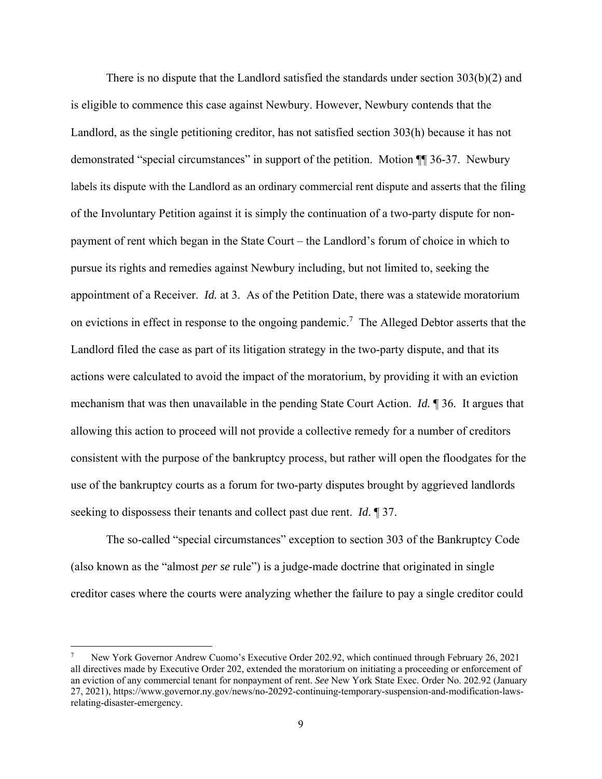There is no dispute that the Landlord satisfied the standards under section 303(b)(2) and is eligible to commence this case against Newbury. However, Newbury contends that the Landlord, as the single petitioning creditor, has not satisfied section 303(h) because it has not demonstrated "special circumstances" in support of the petition. Motion ¶¶ 36-37.Newbury labels its dispute with the Landlord as an ordinary commercial rent dispute and asserts that the filing of the Involuntary Petition against it is simply the continuation of a two-party dispute for nonpayment of rent which began in the State Court – the Landlord's forum of choice in which to pursue its rights and remedies against Newbury including, but not limited to, seeking the appointment of a Receiver. *Id.* at 3. As of the Petition Date, there was a statewide moratorium on evictions in effect in response to the ongoing pandemic.<sup>7</sup> The Alleged Debtor asserts that the Landlord filed the case as part of its litigation strategy in the two-party dispute, and that its actions were calculated to avoid the impact of the moratorium, by providing it with an eviction mechanism that was then unavailable in the pending State Court Action. *Id.* ¶ 36*.* It argues that allowing this action to proceed will not provide a collective remedy for a number of creditors consistent with the purpose of the bankruptcy process, but rather will open the floodgates for the use of the bankruptcy courts as a forum for two-party disputes brought by aggrieved landlords seeking to dispossess their tenants and collect past due rent. *Id*. ¶ 37.

The so-called "special circumstances" exception to section 303 of the Bankruptcy Code (also known as the "almost *per se* rule") is a judge-made doctrine that originated in single creditor cases where the courts were analyzing whether the failure to pay a single creditor could

<sup>7</sup> New York Governor Andrew Cuomo's Executive Order 202.92, which continued through February 26, 2021 all directives made by Executive Order 202, extended the moratorium on initiating a proceeding or enforcement of an eviction of any commercial tenant for nonpayment of rent. *See* New York State Exec. Order No. 202.92 (January 27, 2021), https://www.governor.ny.gov/news/no-20292-continuing-temporary-suspension-and-modification-lawsrelating-disaster-emergency.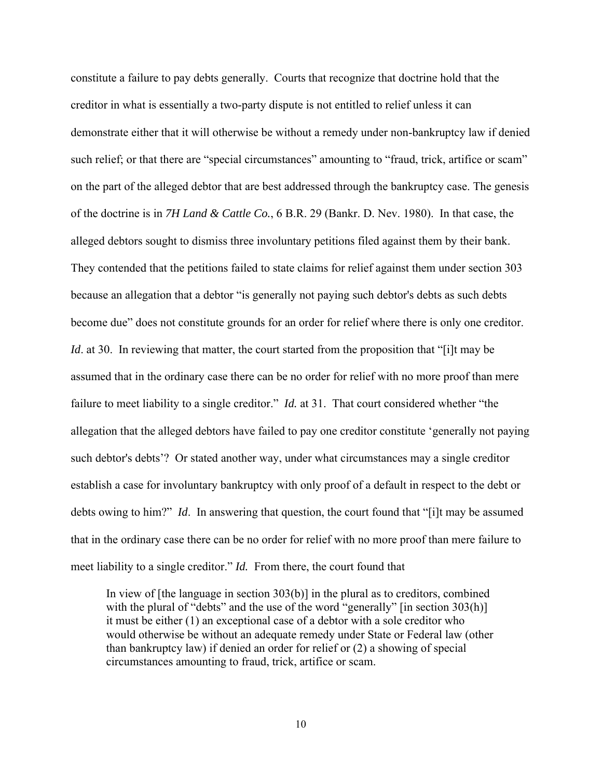constitute a failure to pay debts generally. Courts that recognize that doctrine hold that the creditor in what is essentially a two-party dispute is not entitled to relief unless it can demonstrate either that it will otherwise be without a remedy under non-bankruptcy law if denied such relief; or that there are "special circumstances" amounting to "fraud, trick, artifice or scam" on the part of the alleged debtor that are best addressed through the bankruptcy case. The genesis of the doctrine is in *7H Land & Cattle Co.*, 6 B.R. 29 (Bankr. D. Nev. 1980). In that case, the alleged debtors sought to dismiss three involuntary petitions filed against them by their bank. They contended that the petitions failed to state claims for relief against them under section 303 because an allegation that a debtor "is generally not paying such debtor's debts as such debts become due" does not constitute grounds for an order for relief where there is only one creditor. *Id.* at 30. In reviewing that matter, the court started from the proposition that "[i]t may be assumed that in the ordinary case there can be no order for relief with no more proof than mere failure to meet liability to a single creditor." *Id.* at 31. That court considered whether "the allegation that the alleged debtors have failed to pay one creditor constitute 'generally not paying such debtor's debts'? Or stated another way, under what circumstances may a single creditor establish a case for involuntary bankruptcy with only proof of a default in respect to the debt or debts owing to him?" *Id*. In answering that question, the court found that "[i]t may be assumed that in the ordinary case there can be no order for relief with no more proof than mere failure to meet liability to a single creditor." *Id.* From there, the court found that

In view of [the language in section 303(b)] in the plural as to creditors, combined with the plural of "debts" and the use of the word "generally" [in section 303(h)] it must be either (1) an exceptional case of a debtor with a sole creditor who would otherwise be without an adequate remedy under State or Federal law (other than bankruptcy law) if denied an order for relief or (2) a showing of special circumstances amounting to fraud, trick, artifice or scam.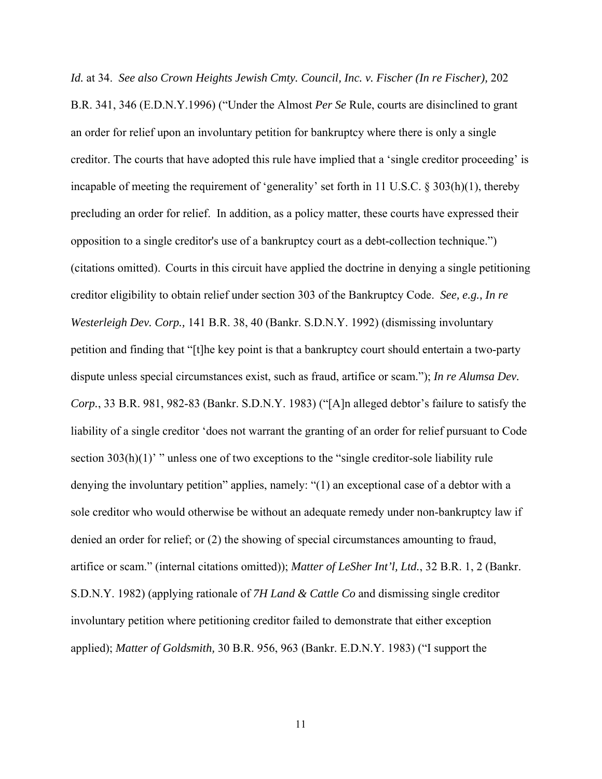*Id.* at 34. *See also Crown Heights Jewish Cmty. Council, Inc. v. Fischer (In re Fischer),* 202 B.R. 341, 346 (E.D.N.Y.1996) ("Under the Almost *Per Se* Rule, courts are disinclined to grant an order for relief upon an involuntary petition for bankruptcy where there is only a single creditor. The courts that have adopted this rule have implied that a 'single creditor proceeding' is incapable of meeting the requirement of 'generality' set forth in 11 U.S.C. § 303(h)(1), thereby precluding an order for relief. In addition, as a policy matter, these courts have expressed their opposition to a single creditor's use of a bankruptcy court as a debt-collection technique.") (citations omitted). Courts in this circuit have applied the doctrine in denying a single petitioning creditor eligibility to obtain relief under section 303 of the Bankruptcy Code. *See, e.g., In re Westerleigh Dev. Corp.,* 141 B.R. 38, 40 (Bankr. S.D.N.Y. 1992) (dismissing involuntary petition and finding that "[t]he key point is that a bankruptcy court should entertain a two-party dispute unless special circumstances exist, such as fraud, artifice or scam."); *In re Alumsa Dev. Corp.*, 33 B.R. 981, 982-83 (Bankr. S.D.N.Y. 1983) ("[A]n alleged debtor's failure to satisfy the liability of a single creditor 'does not warrant the granting of an order for relief pursuant to Code section  $303(h)(1)$ " unless one of two exceptions to the "single creditor-sole liability rule denying the involuntary petition" applies, namely: "(1) an exceptional case of a debtor with a sole creditor who would otherwise be without an adequate remedy under non-bankruptcy law if denied an order for relief; or (2) the showing of special circumstances amounting to fraud, artifice or scam." (internal citations omitted)); *Matter of LeSher Int'l, Ltd.*, 32 B.R. 1, 2 (Bankr. S.D.N.Y. 1982) (applying rationale of *7H Land & Cattle Co* and dismissing single creditor involuntary petition where petitioning creditor failed to demonstrate that either exception applied); *Matter of Goldsmith,* 30 B.R. 956, 963 (Bankr. E.D.N.Y. 1983) ("I support the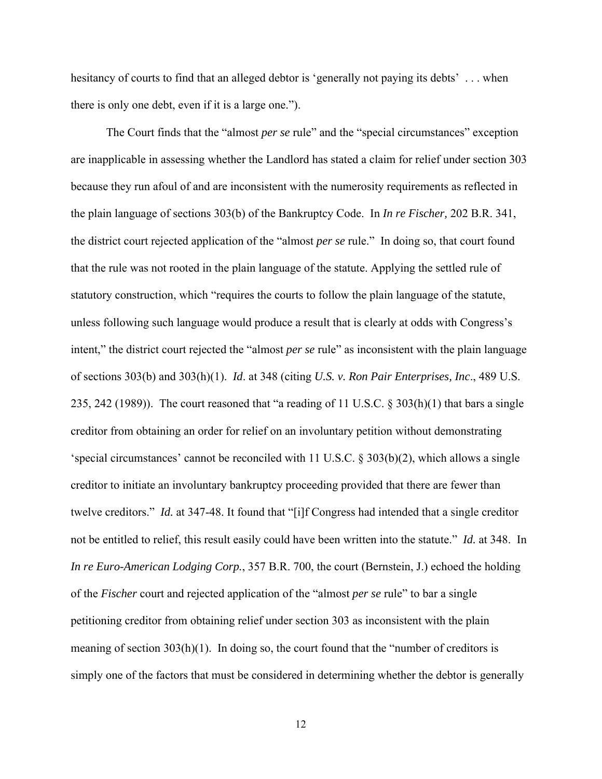hesitancy of courts to find that an alleged debtor is 'generally not paying its debts' ... when there is only one debt, even if it is a large one.").

The Court finds that the "almost *per se* rule" and the "special circumstances" exception are inapplicable in assessing whether the Landlord has stated a claim for relief under section 303 because they run afoul of and are inconsistent with the numerosity requirements as reflected in the plain language of sections 303(b) of the Bankruptcy Code. In *In re Fischer,* 202 B.R. 341, the district court rejected application of the "almost *per se* rule." In doing so, that court found that the rule was not rooted in the plain language of the statute. Applying the settled rule of statutory construction, which "requires the courts to follow the plain language of the statute, unless following such language would produce a result that is clearly at odds with Congress's intent," the district court rejected the "almost *per se* rule" as inconsistent with the plain language of sections 303(b) and 303(h)(1). *Id*. at 348 (citing *U.S. v. Ron Pair Enterprises, Inc*., 489 U.S. 235, 242 (1989)). The court reasoned that "a reading of 11 U.S.C. § 303(h)(1) that bars a single creditor from obtaining an order for relief on an involuntary petition without demonstrating 'special circumstances' cannot be reconciled with 11 U.S.C. § 303(b)(2), which allows a single creditor to initiate an involuntary bankruptcy proceeding provided that there are fewer than twelve creditors." *Id.* at 347-48. It found that "[i]f Congress had intended that a single creditor not be entitled to relief, this result easily could have been written into the statute." *Id.* at 348. In *In re Euro-American Lodging Corp.*, 357 B.R. 700, the court (Bernstein, J.) echoed the holding of the *Fischer* court and rejected application of the "almost *per se* rule" to bar a single petitioning creditor from obtaining relief under section 303 as inconsistent with the plain meaning of section  $303(h)(1)$ . In doing so, the court found that the "number of creditors is simply one of the factors that must be considered in determining whether the debtor is generally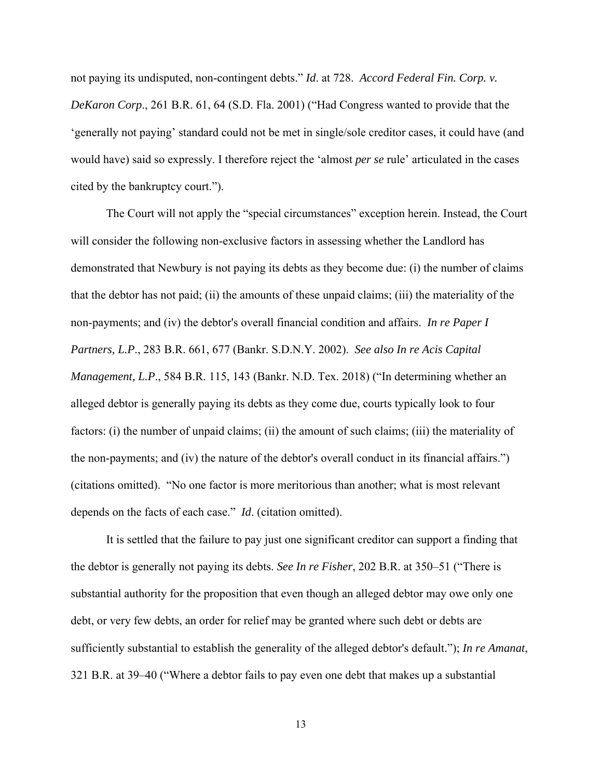not paying its undisputed, non-contingent debts." *Id*. at 728. *Accord Federal Fin. Corp. v. DeKaron Corp*., 261 B.R. 61, 64 (S.D. Fla. 2001) ("Had Congress wanted to provide that the 'generally not paying' standard could not be met in single/sole creditor cases, it could have (and would have) said so expressly. I therefore reject the 'almost *per se* rule' articulated in the cases cited by the bankruptcy court.").

The Court will not apply the "special circumstances" exception herein. Instead, the Court will consider the following non-exclusive factors in assessing whether the Landlord has demonstrated that Newbury is not paying its debts as they become due: (i) the number of claims that the debtor has not paid; (ii) the amounts of these unpaid claims; (iii) the materiality of the non-payments; and (iv) the debtor's overall financial condition and affairs. *In re Paper I Partners, L.P*., 283 B.R. 661, 677 (Bankr. S.D.N.Y. 2002). *See also In re Acis Capital Management, L.P*., 584 B.R. 115, 143 (Bankr. N.D. Tex. 2018) ("In determining whether an alleged debtor is generally paying its debts as they come due, courts typically look to four factors: (i) the number of unpaid claims; (ii) the amount of such claims; (iii) the materiality of the non-payments; and (iv) the nature of the debtor's overall conduct in its financial affairs.") (citations omitted). "No one factor is more meritorious than another; what is most relevant depends on the facts of each case." *Id*. (citation omitted).

It is settled that the failure to pay just one significant creditor can support a finding that the debtor is generally not paying its debts. *See In re Fisher*, 202 B.R. at 350–51 ("There is substantial authority for the proposition that even though an alleged debtor may owe only one debt, or very few debts, an order for relief may be granted where such debt or debts are sufficiently substantial to establish the generality of the alleged debtor's default."); *In re Amanat*, 321 B.R. at 39–40 ("Where a debtor fails to pay even one debt that makes up a substantial

13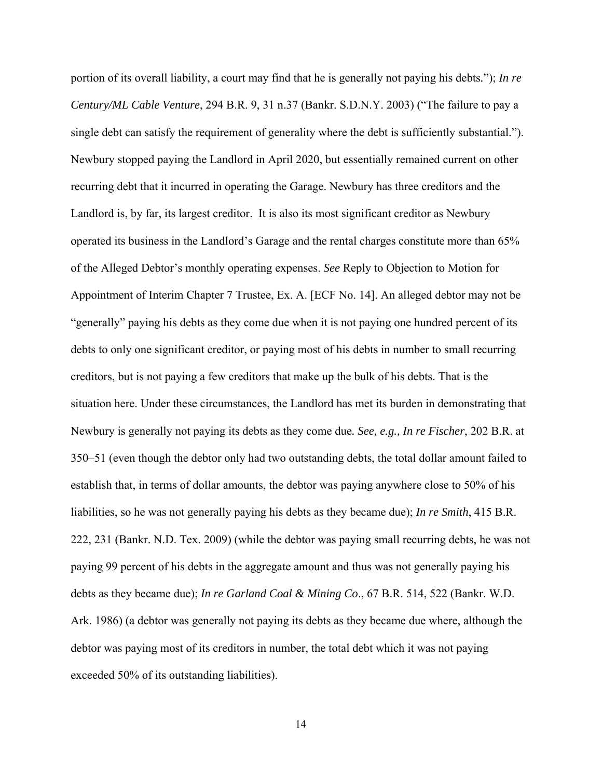portion of its overall liability, a court may find that he is generally not paying his debts*.*"); *In re Century/ML Cable Venture*, 294 B.R. 9, 31 n.37 (Bankr. S.D.N.Y. 2003) ("The failure to pay a single debt can satisfy the requirement of generality where the debt is sufficiently substantial."). Newbury stopped paying the Landlord in April 2020, but essentially remained current on other recurring debt that it incurred in operating the Garage. Newbury has three creditors and the Landlord is, by far, its largest creditor. It is also its most significant creditor as Newbury operated its business in the Landlord's Garage and the rental charges constitute more than 65% of the Alleged Debtor's monthly operating expenses. *See* Reply to Objection to Motion for Appointment of Interim Chapter 7 Trustee, Ex. A. [ECF No. 14]. An alleged debtor may not be "generally" paying his debts as they come due when it is not paying one hundred percent of its debts to only one significant creditor, or paying most of his debts in number to small recurring creditors, but is not paying a few creditors that make up the bulk of his debts. That is the situation here. Under these circumstances, the Landlord has met its burden in demonstrating that Newbury is generally not paying its debts as they come due*. See, e.g., In re Fischer*, 202 B.R. at 350–51 (even though the debtor only had two outstanding debts, the total dollar amount failed to establish that, in terms of dollar amounts, the debtor was paying anywhere close to 50% of his liabilities, so he was not generally paying his debts as they became due); *In re Smith*, 415 B.R. 222, 231 (Bankr. N.D. Tex. 2009) (while the debtor was paying small recurring debts, he was not paying 99 percent of his debts in the aggregate amount and thus was not generally paying his debts as they became due); *In re Garland Coal & Mining Co*., 67 B.R. 514, 522 (Bankr. W.D. Ark. 1986) (a debtor was generally not paying its debts as they became due where, although the debtor was paying most of its creditors in number, the total debt which it was not paying exceeded 50% of its outstanding liabilities).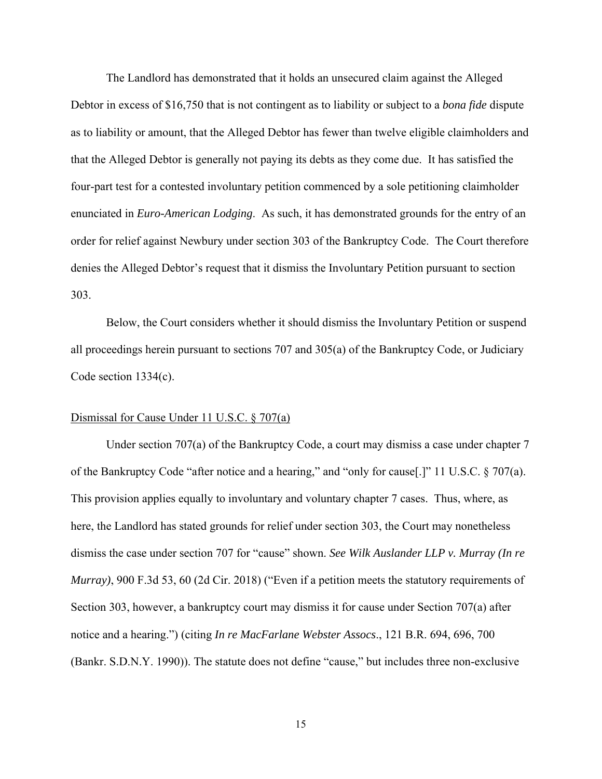The Landlord has demonstrated that it holds an unsecured claim against the Alleged Debtor in excess of \$16,750 that is not contingent as to liability or subject to a *bona fide* dispute as to liability or amount, that the Alleged Debtor has fewer than twelve eligible claimholders and that the Alleged Debtor is generally not paying its debts as they come due. It has satisfied the four-part test for a contested involuntary petition commenced by a sole petitioning claimholder enunciated in *Euro-American Lodging*. As such, it has demonstrated grounds for the entry of an order for relief against Newbury under section 303 of the Bankruptcy Code. The Court therefore denies the Alleged Debtor's request that it dismiss the Involuntary Petition pursuant to section 303.

 Below, the Court considers whether it should dismiss the Involuntary Petition or suspend all proceedings herein pursuant to sections 707 and 305(a) of the Bankruptcy Code, or Judiciary Code section 1334(c).

#### Dismissal for Cause Under 11 U.S.C. § 707(a)

Under section 707(a) of the Bankruptcy Code, a court may dismiss a case under chapter 7 of the Bankruptcy Code "after notice and a hearing," and "only for cause[.]" 11 U.S.C. § 707(a). This provision applies equally to involuntary and voluntary chapter 7 cases. Thus, where, as here, the Landlord has stated grounds for relief under section 303, the Court may nonetheless dismiss the case under section 707 for "cause" shown. *See Wilk Auslander LLP v. Murray (In re Murray)*, 900 F.3d 53, 60 (2d Cir. 2018) ("Even if a petition meets the statutory requirements of Section 303, however, a bankruptcy court may dismiss it for cause under Section 707(a) after notice and a hearing.") (citing *In re MacFarlane Webster Assocs*., 121 B.R. 694, 696, 700 (Bankr. S.D.N.Y. 1990)). The statute does not define "cause," but includes three non-exclusive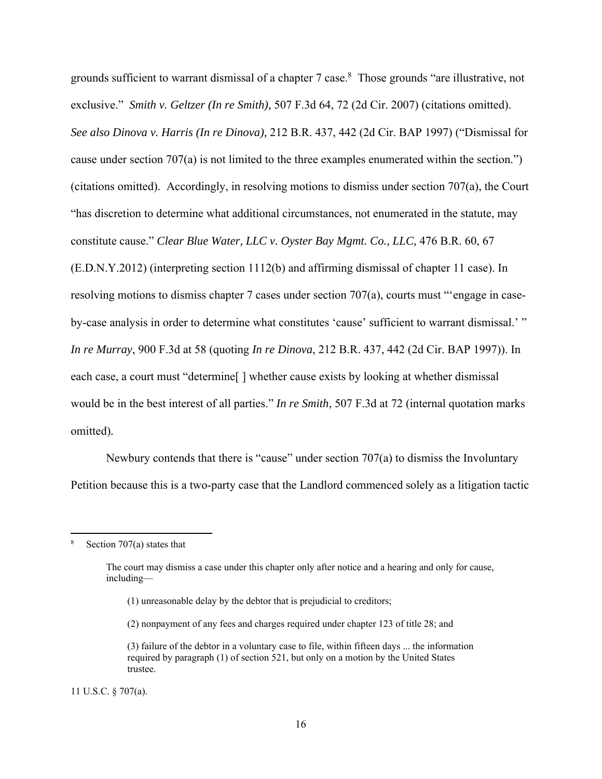grounds sufficient to warrant dismissal of a chapter 7 case.<sup>8</sup> Those grounds "are illustrative, not exclusive." *Smith v. Geltzer (In re Smith),* 507 F.3d 64, 72 (2d Cir. 2007) (citations omitted). *See also Dinova v. Harris (In re Dinova),* 212 B.R. 437, 442 (2d Cir. BAP 1997) ("Dismissal for cause under section 707(a) is not limited to the three examples enumerated within the section.") (citations omitted). Accordingly, in resolving motions to dismiss under section 707(a), the Court "has discretion to determine what additional circumstances, not enumerated in the statute, may constitute cause." *Clear Blue Water, LLC v. Oyster Bay Mgmt. Co., LLC,* 476 B.R. 60, 67 (E.D.N.Y.2012) (interpreting section 1112(b) and affirming dismissal of chapter 11 case). In resolving motions to dismiss chapter 7 cases under section 707(a), courts must "'engage in caseby-case analysis in order to determine what constitutes 'cause' sufficient to warrant dismissal.' " *In re Murray*, 900 F.3d at 58 (quoting *In re Dinova*, 212 B.R. 437, 442 (2d Cir. BAP 1997)). In each case, a court must "determine<sup>[]</sup> whether cause exists by looking at whether dismissal would be in the best interest of all parties." *In re Smith*, 507 F.3d at 72 (internal quotation marks omitted)*.* 

Newbury contends that there is "cause" under section 707(a) to dismiss the Involuntary Petition because this is a two-party case that the Landlord commenced solely as a litigation tactic

- (1) unreasonable delay by the debtor that is prejudicial to creditors;
- (2) nonpayment of any fees and charges required under chapter 123 of title 28; and

11 U.S.C. § 707(a).

<sup>8</sup> Section 707(a) states that

The court may dismiss a case under this chapter only after notice and a hearing and only for cause, including—

<sup>(3)</sup> failure of the debtor in a voluntary case to file, within fifteen days ... the information required by paragraph (1) of section 521, but only on a motion by the United States trustee.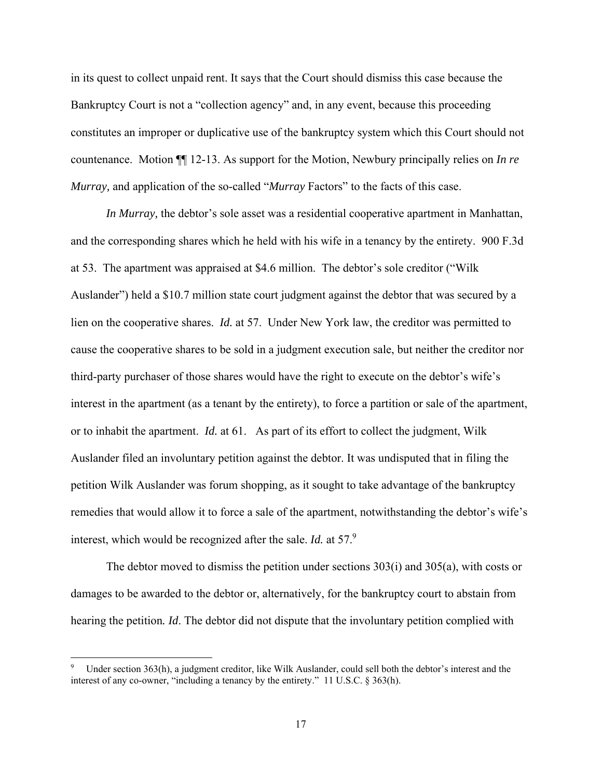in its quest to collect unpaid rent. It says that the Court should dismiss this case because the Bankruptcy Court is not a "collection agency" and, in any event, because this proceeding constitutes an improper or duplicative use of the bankruptcy system which this Court should not countenance. Motion ¶¶ 12-13. As support for the Motion, Newbury principally relies on *In re Murray,* and application of the so-called "*Murray* Factors" to the facts of this case.

*In Murray,* the debtor's sole asset was a residential cooperative apartment in Manhattan, and the corresponding shares which he held with his wife in a tenancy by the entirety. 900 F.3d at 53. The apartment was appraised at \$4.6 million. The debtor's sole creditor ("Wilk Auslander") held a \$10.7 million state court judgment against the debtor that was secured by a lien on the cooperative shares. *Id.* at 57. Under New York law, the creditor was permitted to cause the cooperative shares to be sold in a judgment execution sale, but neither the creditor nor third-party purchaser of those shares would have the right to execute on the debtor's wife's interest in the apartment (as a tenant by the entirety), to force a partition or sale of the apartment, or to inhabit the apartment. *Id.* at 61. As part of its effort to collect the judgment, Wilk Auslander filed an involuntary petition against the debtor. It was undisputed that in filing the petition Wilk Auslander was forum shopping, as it sought to take advantage of the bankruptcy remedies that would allow it to force a sale of the apartment, notwithstanding the debtor's wife's interest, which would be recognized after the sale. *Id.* at 57.9

The debtor moved to dismiss the petition under sections 303(i) and 305(a), with costs or damages to be awarded to the debtor or, alternatively, for the bankruptcy court to abstain from hearing the petition*. Id*. The debtor did not dispute that the involuntary petition complied with

<sup>9</sup> Under section 363(h), a judgment creditor, like Wilk Auslander, could sell both the debtor's interest and the interest of any co-owner, "including a tenancy by the entirety." 11 U.S.C. § 363(h).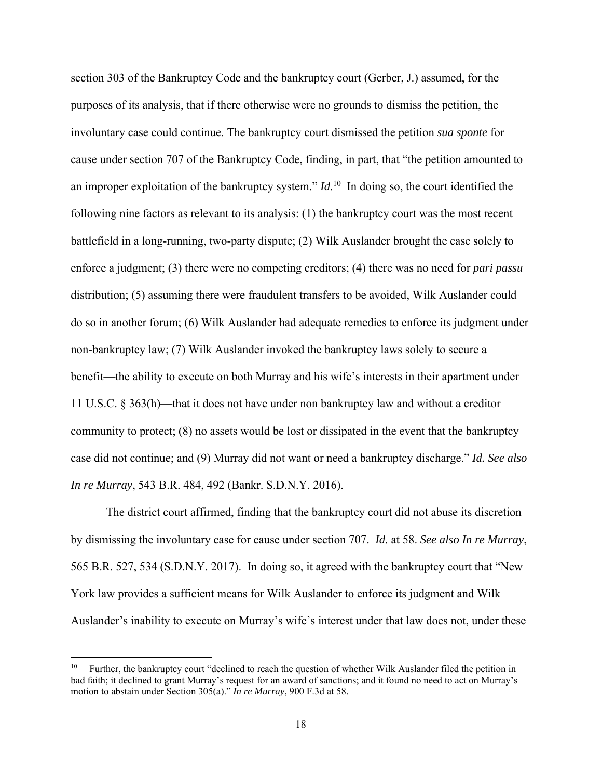section 303 of the Bankruptcy Code and the bankruptcy court (Gerber, J.) assumed, for the purposes of its analysis, that if there otherwise were no grounds to dismiss the petition, the involuntary case could continue. The bankruptcy court dismissed the petition *sua sponte* for cause under section 707 of the Bankruptcy Code, finding, in part, that "the petition amounted to an improper exploitation of the bankruptcy system." *Id.*<sup>10</sup>In doing so, the court identified the following nine factors as relevant to its analysis: (1) the bankruptcy court was the most recent battlefield in a long-running, two-party dispute; (2) Wilk Auslander brought the case solely to enforce a judgment; (3) there were no competing creditors; (4) there was no need for *pari passu* distribution; (5) assuming there were fraudulent transfers to be avoided, Wilk Auslander could do so in another forum; (6) Wilk Auslander had adequate remedies to enforce its judgment under non-bankruptcy law; (7) Wilk Auslander invoked the bankruptcy laws solely to secure a benefit—the ability to execute on both Murray and his wife's interests in their apartment under 11 U.S.C. § 363(h)—that it does not have under non bankruptcy law and without a creditor community to protect; (8) no assets would be lost or dissipated in the event that the bankruptcy case did not continue; and (9) Murray did not want or need a bankruptcy discharge." *Id. See also In re Murray*, 543 B.R. 484, 492 (Bankr. S.D.N.Y. 2016).

The district court affirmed, finding that the bankruptcy court did not abuse its discretion by dismissing the involuntary case for cause under section 707. *Id.* at 58. *See also In re Murray*, 565 B.R. 527, 534 (S.D.N.Y. 2017). In doing so, it agreed with the bankruptcy court that "New York law provides a sufficient means for Wilk Auslander to enforce its judgment and Wilk Auslander's inability to execute on Murray's wife's interest under that law does not, under these

<sup>10</sup> Further, the bankruptcy court "declined to reach the question of whether Wilk Auslander filed the petition in bad faith; it declined to grant Murray's request for an award of sanctions; and it found no need to act on Murray's motion to abstain under Section 305(a)." *In re Murray*, 900 F.3d at 58.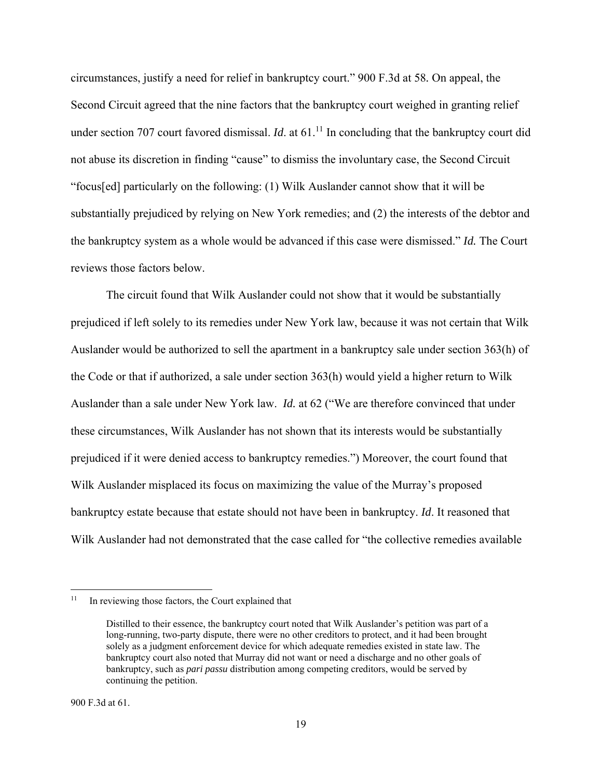circumstances, justify a need for relief in bankruptcy court." 900 F.3d at 58*.* On appeal, the Second Circuit agreed that the nine factors that the bankruptcy court weighed in granting relief under section 707 court favored dismissal. *Id*. at 61.<sup>11</sup> In concluding that the bankruptcy court did not abuse its discretion in finding "cause" to dismiss the involuntary case, the Second Circuit "focus[ed] particularly on the following: (1) Wilk Auslander cannot show that it will be substantially prejudiced by relying on New York remedies; and (2) the interests of the debtor and the bankruptcy system as a whole would be advanced if this case were dismissed." *Id.* The Court reviews those factors below.

The circuit found that Wilk Auslander could not show that it would be substantially prejudiced if left solely to its remedies under New York law, because it was not certain that Wilk Auslander would be authorized to sell the apartment in a bankruptcy sale under section 363(h) of the Code or that if authorized, a sale under section 363(h) would yield a higher return to Wilk Auslander than a sale under New York law. *Id.* at 62 ("We are therefore convinced that under these circumstances, Wilk Auslander has not shown that its interests would be substantially prejudiced if it were denied access to bankruptcy remedies.") Moreover, the court found that Wilk Auslander misplaced its focus on maximizing the value of the Murray's proposed bankruptcy estate because that estate should not have been in bankruptcy. *Id*. It reasoned that Wilk Auslander had not demonstrated that the case called for "the collective remedies available

<sup>&</sup>lt;sup>11</sup> In reviewing those factors, the Court explained that

Distilled to their essence, the bankruptcy court noted that Wilk Auslander's petition was part of a long-running, two-party dispute, there were no other creditors to protect, and it had been brought solely as a judgment enforcement device for which adequate remedies existed in state law. The bankruptcy court also noted that Murray did not want or need a discharge and no other goals of bankruptcy, such as *pari passu* distribution among competing creditors, would be served by continuing the petition.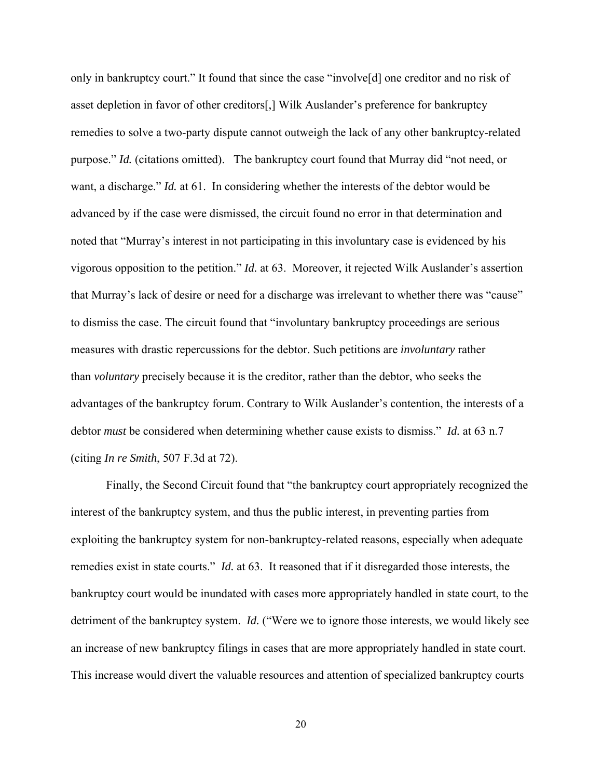only in bankruptcy court." It found that since the case "involve[d] one creditor and no risk of asset depletion in favor of other creditors[,] Wilk Auslander's preference for bankruptcy remedies to solve a two-party dispute cannot outweigh the lack of any other bankruptcy-related purpose." *Id.* (citations omitted). The bankruptcy court found that Murray did "not need, or want, a discharge." *Id.* at 61. In considering whether the interests of the debtor would be advanced by if the case were dismissed, the circuit found no error in that determination and noted that "Murray's interest in not participating in this involuntary case is evidenced by his vigorous opposition to the petition." *Id.* at 63. Moreover, it rejected Wilk Auslander's assertion that Murray's lack of desire or need for a discharge was irrelevant to whether there was "cause" to dismiss the case. The circuit found that "involuntary bankruptcy proceedings are serious measures with drastic repercussions for the debtor. Such petitions are *involuntary* rather than *voluntary* precisely because it is the creditor, rather than the debtor, who seeks the advantages of the bankruptcy forum. Contrary to Wilk Auslander's contention, the interests of a debtor *must* be considered when determining whether cause exists to dismiss." *Id.* at 63 n.7 (citing *In re Smith*, 507 F.3d at 72).

Finally, the Second Circuit found that "the bankruptcy court appropriately recognized the interest of the bankruptcy system, and thus the public interest, in preventing parties from exploiting the bankruptcy system for non-bankruptcy-related reasons, especially when adequate remedies exist in state courts." *Id.* at 63. It reasoned that if it disregarded those interests, the bankruptcy court would be inundated with cases more appropriately handled in state court, to the detriment of the bankruptcy system. *Id.* ("Were we to ignore those interests, we would likely see an increase of new bankruptcy filings in cases that are more appropriately handled in state court. This increase would divert the valuable resources and attention of specialized bankruptcy courts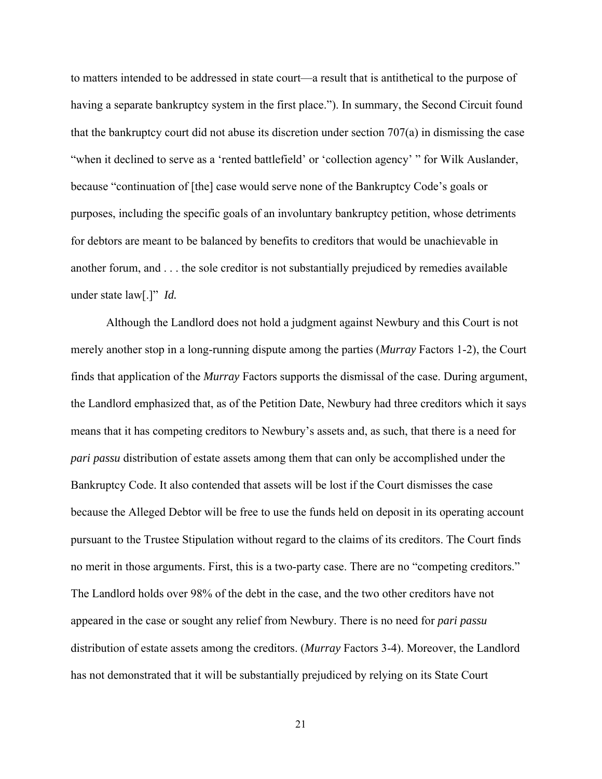to matters intended to be addressed in state court—a result that is antithetical to the purpose of having a separate bankruptcy system in the first place."). In summary, the Second Circuit found that the bankruptcy court did not abuse its discretion under section 707(a) in dismissing the case "when it declined to serve as a 'rented battlefield' or 'collection agency' " for Wilk Auslander, because "continuation of [the] case would serve none of the Bankruptcy Code's goals or purposes, including the specific goals of an involuntary bankruptcy petition, whose detriments for debtors are meant to be balanced by benefits to creditors that would be unachievable in another forum, and . . . the sole creditor is not substantially prejudiced by remedies available under state law[.]" *Id.*

 Although the Landlord does not hold a judgment against Newbury and this Court is not merely another stop in a long-running dispute among the parties (*Murray* Factors 1-2), the Court finds that application of the *Murray* Factors supports the dismissal of the case. During argument, the Landlord emphasized that, as of the Petition Date, Newbury had three creditors which it says means that it has competing creditors to Newbury's assets and, as such, that there is a need for *pari passu* distribution of estate assets among them that can only be accomplished under the Bankruptcy Code. It also contended that assets will be lost if the Court dismisses the case because the Alleged Debtor will be free to use the funds held on deposit in its operating account pursuant to the Trustee Stipulation without regard to the claims of its creditors. The Court finds no merit in those arguments. First, this is a two-party case. There are no "competing creditors." The Landlord holds over 98% of the debt in the case, and the two other creditors have not appeared in the case or sought any relief from Newbury. There is no need for *pari passu* distribution of estate assets among the creditors. (*Murray* Factors 3-4). Moreover, the Landlord has not demonstrated that it will be substantially prejudiced by relying on its State Court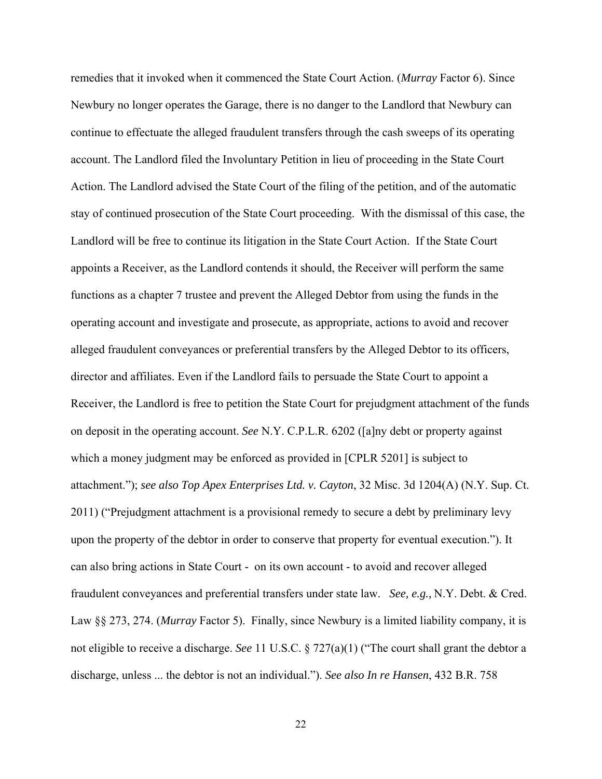remedies that it invoked when it commenced the State Court Action. (*Murray* Factor 6). Since Newbury no longer operates the Garage, there is no danger to the Landlord that Newbury can continue to effectuate the alleged fraudulent transfers through the cash sweeps of its operating account. The Landlord filed the Involuntary Petition in lieu of proceeding in the State Court Action. The Landlord advised the State Court of the filing of the petition, and of the automatic stay of continued prosecution of the State Court proceeding. With the dismissal of this case, the Landlord will be free to continue its litigation in the State Court Action. If the State Court appoints a Receiver, as the Landlord contends it should, the Receiver will perform the same functions as a chapter 7 trustee and prevent the Alleged Debtor from using the funds in the operating account and investigate and prosecute, as appropriate, actions to avoid and recover alleged fraudulent conveyances or preferential transfers by the Alleged Debtor to its officers, director and affiliates. Even if the Landlord fails to persuade the State Court to appoint a Receiver, the Landlord is free to petition the State Court for prejudgment attachment of the funds on deposit in the operating account. *See* N.Y. C.P.L.R. 6202 ([a]ny debt or property against which a money judgment may be enforced as provided in [CPLR 5201] is subject to attachment."); *see also Top Apex Enterprises Ltd. v. Cayton*, 32 Misc. 3d 1204(A) (N.Y. Sup. Ct. 2011) ("Prejudgment attachment is a provisional remedy to secure a debt by preliminary levy upon the property of the debtor in order to conserve that property for eventual execution."). It can also bring actions in State Court - on its own account - to avoid and recover alleged fraudulent conveyances and preferential transfers under state law. *See, e.g.,* N.Y. Debt. & Cred. Law §§ 273, 274. (*Murray* Factor 5). Finally, since Newbury is a limited liability company, it is not eligible to receive a discharge. *See* 11 U.S.C. § 727(a)(1) ("The court shall grant the debtor a discharge, unless ... the debtor is not an individual."). *See also In re Hansen*, 432 B.R. 758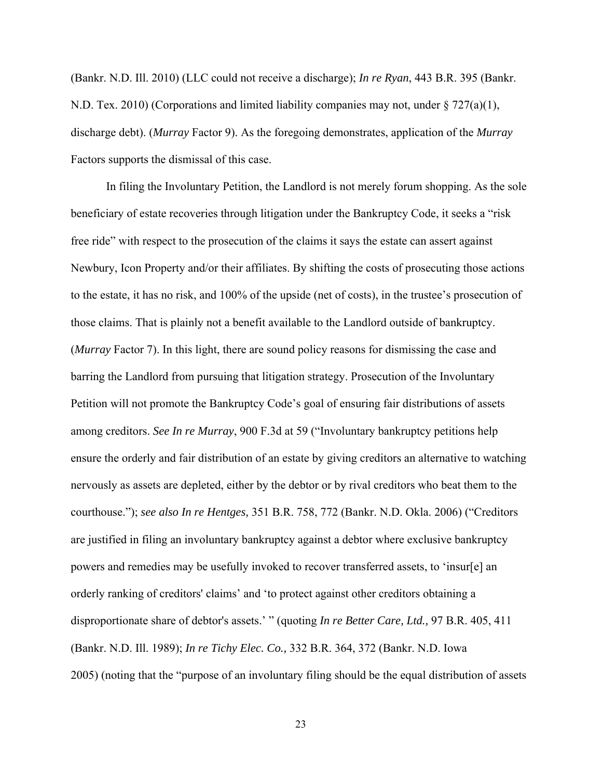(Bankr. N.D. Ill. 2010) (LLC could not receive a discharge); *In re Ryan*, 443 B.R. 395 (Bankr. N.D. Tex. 2010) (Corporations and limited liability companies may not, under  $\S 727(a)(1)$ , discharge debt). (*Murray* Factor 9). As the foregoing demonstrates, application of the *Murray* Factors supports the dismissal of this case.

 In filing the Involuntary Petition, the Landlord is not merely forum shopping. As the sole beneficiary of estate recoveries through litigation under the Bankruptcy Code, it seeks a "risk free ride" with respect to the prosecution of the claims it says the estate can assert against Newbury, Icon Property and/or their affiliates. By shifting the costs of prosecuting those actions to the estate, it has no risk, and 100% of the upside (net of costs), in the trustee's prosecution of those claims. That is plainly not a benefit available to the Landlord outside of bankruptcy. (*Murray* Factor 7). In this light, there are sound policy reasons for dismissing the case and barring the Landlord from pursuing that litigation strategy. Prosecution of the Involuntary Petition will not promote the Bankruptcy Code's goal of ensuring fair distributions of assets among creditors. *See In re Murray*, 900 F.3d at 59 ("Involuntary bankruptcy petitions help ensure the orderly and fair distribution of an estate by giving creditors an alternative to watching nervously as assets are depleted, either by the debtor or by rival creditors who beat them to the courthouse."); *see also In re Hentges,* 351 B.R. 758, 772 (Bankr. N.D. Okla. 2006) ("Creditors are justified in filing an involuntary bankruptcy against a debtor where exclusive bankruptcy powers and remedies may be usefully invoked to recover transferred assets, to 'insur[e] an orderly ranking of creditors' claims' and 'to protect against other creditors obtaining a disproportionate share of debtor's assets.' " (quoting *In re Better Care, Ltd.,* 97 B.R. 405, 411 (Bankr. N.D. Ill. 1989); *In re Tichy Elec. Co.,* 332 B.R. 364, 372 (Bankr. N.D. Iowa 2005) (noting that the "purpose of an involuntary filing should be the equal distribution of assets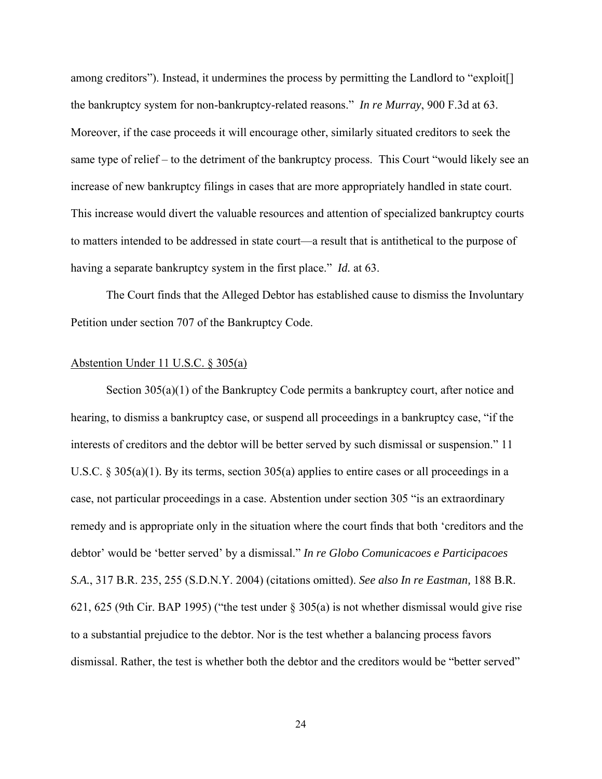among creditors"). Instead, it undermines the process by permitting the Landlord to "exploit<sup>[]</sup> the bankruptcy system for non-bankruptcy-related reasons." *In re Murray*, 900 F.3d at 63. Moreover, if the case proceeds it will encourage other, similarly situated creditors to seek the same type of relief – to the detriment of the bankruptcy process. This Court "would likely see an increase of new bankruptcy filings in cases that are more appropriately handled in state court. This increase would divert the valuable resources and attention of specialized bankruptcy courts to matters intended to be addressed in state court—a result that is antithetical to the purpose of having a separate bankruptcy system in the first place." *Id.* at 63.

 The Court finds that the Alleged Debtor has established cause to dismiss the Involuntary Petition under section 707 of the Bankruptcy Code.

#### Abstention Under 11 U.S.C. § 305(a)

Section 305(a)(1) of the Bankruptcy Code permits a bankruptcy court, after notice and hearing, to dismiss a bankruptcy case, or suspend all proceedings in a bankruptcy case, "if the interests of creditors and the debtor will be better served by such dismissal or suspension." 11 U.S.C. § 305(a)(1). By its terms, section 305(a) applies to entire cases or all proceedings in a case, not particular proceedings in a case. Abstention under section 305 "is an extraordinary remedy and is appropriate only in the situation where the court finds that both 'creditors and the debtor' would be 'better served' by a dismissal." *In re Globo Comunicacoes e Participacoes S.A.*, 317 B.R. 235, 255 (S.D.N.Y. 2004) (citations omitted). *See also In re Eastman,* 188 B.R. 621, 625 (9th Cir. BAP 1995) ("the test under § 305(a) is not whether dismissal would give rise to a substantial prejudice to the debtor. Nor is the test whether a balancing process favors dismissal. Rather, the test is whether both the debtor and the creditors would be "better served"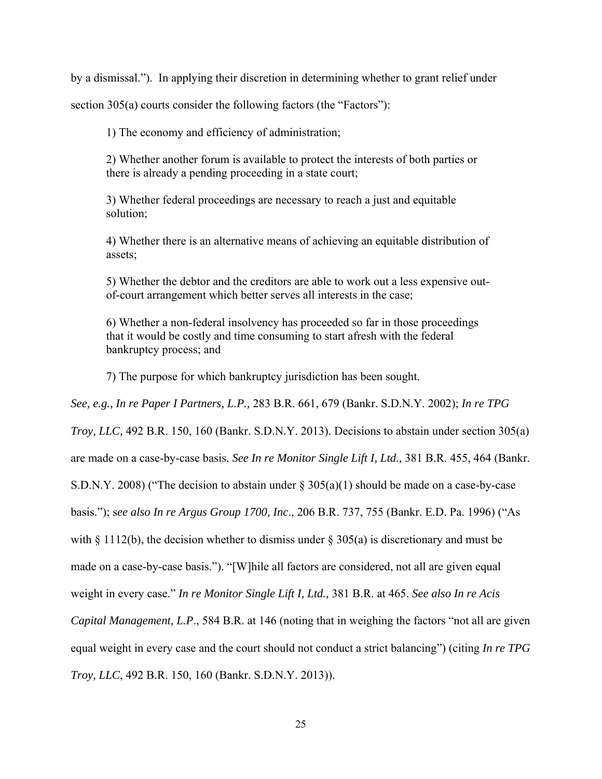by a dismissal."). In applying their discretion in determining whether to grant relief under

section 305(a) courts consider the following factors (the "Factors"):

1) The economy and efficiency of administration;

2) Whether another forum is available to protect the interests of both parties or there is already a pending proceeding in a state court;

3) Whether federal proceedings are necessary to reach a just and equitable solution;

4) Whether there is an alternative means of achieving an equitable distribution of assets;

5) Whether the debtor and the creditors are able to work out a less expensive outof-court arrangement which better serves all interests in the case;

6) Whether a non-federal insolvency has proceeded so far in those proceedings that it would be costly and time consuming to start afresh with the federal bankruptcy process; and

7) The purpose for which bankruptcy jurisdiction has been sought.

*See, e.g., In re Paper I Partners, L.P.,* 283 B.R. 661, 679 (Bankr. S.D.N.Y. 2002); *In re TPG* 

*Troy, LLC,* 492 B.R. 150, 160 (Bankr. S.D.N.Y. 2013). Decisions to abstain under section 305(a)

are made on a case-by-case basis. *See In re Monitor Single Lift I, Ltd.,* 381 B.R. 455, 464 (Bankr.

S.D.N.Y. 2008) ("The decision to abstain under  $\S 305(a)(1)$  should be made on a case-by-case

basis."); s*ee also In re Argus Group 1700, Inc*., 206 B.R. 737, 755 (Bankr. E.D. Pa. 1996) ("As

with  $\S 1112(b)$ , the decision whether to dismiss under  $\S 305(a)$  is discretionary and must be

made on a case-by-case basis."). "[W]hile all factors are considered, not all are given equal

weight in every case." *In re Monitor Single Lift I, Ltd.,* 381 B.R. at 465. *See also In re Acis* 

*Capital Management, L.P*., 584 B.R. at 146 (noting that in weighing the factors "not all are given

equal weight in every case and the court should not conduct a strict balancing") (citing *In re TPG* 

*Troy, LLC*, 492 B.R. 150, 160 (Bankr. S.D.N.Y. 2013)).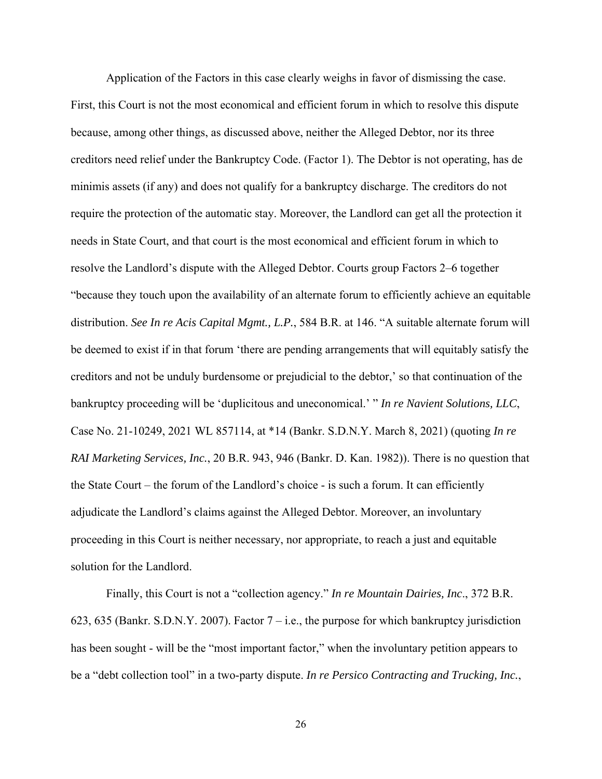Application of the Factors in this case clearly weighs in favor of dismissing the case. First, this Court is not the most economical and efficient forum in which to resolve this dispute because, among other things, as discussed above, neither the Alleged Debtor, nor its three creditors need relief under the Bankruptcy Code. (Factor 1). The Debtor is not operating, has de minimis assets (if any) and does not qualify for a bankruptcy discharge. The creditors do not require the protection of the automatic stay. Moreover, the Landlord can get all the protection it needs in State Court, and that court is the most economical and efficient forum in which to resolve the Landlord's dispute with the Alleged Debtor. Courts group Factors 2–6 together "because they touch upon the availability of an alternate forum to efficiently achieve an equitable distribution. *See In re Acis Capital Mgmt., L.P.*, 584 B.R. at 146. "A suitable alternate forum will be deemed to exist if in that forum 'there are pending arrangements that will equitably satisfy the creditors and not be unduly burdensome or prejudicial to the debtor,' so that continuation of the bankruptcy proceeding will be 'duplicitous and uneconomical.' " *In re Navient Solutions, LLC*, Case No. 21-10249, 2021 WL 857114, at \*14 (Bankr. S.D.N.Y. March 8, 2021) (quoting *In re RAI Marketing Services, Inc.*, 20 B.R. 943, 946 (Bankr. D. Kan. 1982)). There is no question that the State Court – the forum of the Landlord's choice - is such a forum. It can efficiently adjudicate the Landlord's claims against the Alleged Debtor. Moreover, an involuntary proceeding in this Court is neither necessary, nor appropriate, to reach a just and equitable solution for the Landlord.

Finally, this Court is not a "collection agency." *In re Mountain Dairies, Inc*., 372 B.R. 623, 635 (Bankr. S.D.N.Y. 2007). Factor  $7 - i.e.,$  the purpose for which bankruptcy jurisdiction has been sought - will be the "most important factor," when the involuntary petition appears to be a "debt collection tool" in a two-party dispute. *In re Persico Contracting and Trucking, Inc.*,

26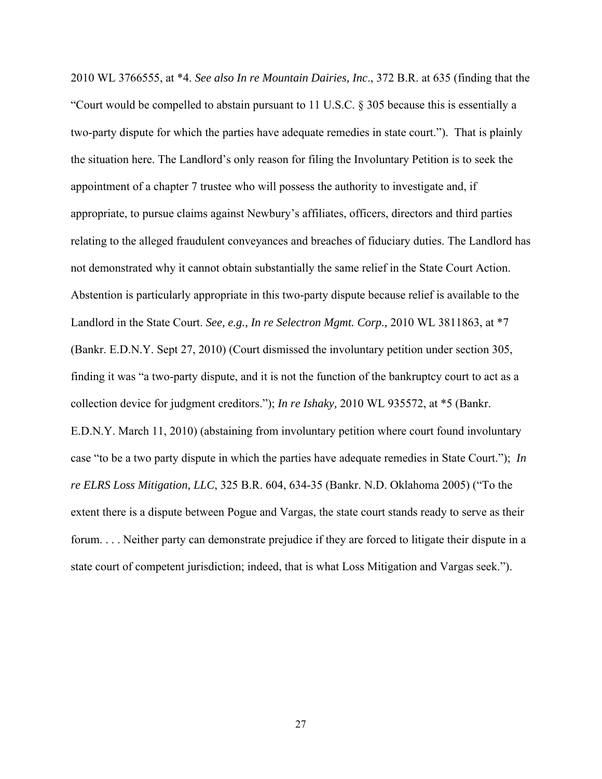2010 WL 3766555, at \*4. *See also In re Mountain Dairies, Inc*., 372 B.R. at 635 (finding that the "Court would be compelled to abstain pursuant to 11 U.S.C. § 305 because this is essentially a two-party dispute for which the parties have adequate remedies in state court."). That is plainly the situation here. The Landlord's only reason for filing the Involuntary Petition is to seek the appointment of a chapter 7 trustee who will possess the authority to investigate and, if appropriate, to pursue claims against Newbury's affiliates, officers, directors and third parties relating to the alleged fraudulent conveyances and breaches of fiduciary duties. The Landlord has not demonstrated why it cannot obtain substantially the same relief in the State Court Action. Abstention is particularly appropriate in this two-party dispute because relief is available to the Landlord in the State Court. *See, e.g., In re Selectron Mgmt. Corp.,* 2010 WL 3811863, at \*7 (Bankr. E.D.N.Y. Sept 27, 2010) (Court dismissed the involuntary petition under section 305, finding it was "a two-party dispute, and it is not the function of the bankruptcy court to act as a collection device for judgment creditors."); *In re Ishaky,* 2010 WL 935572, at \*5 (Bankr. E.D.N.Y. March 11, 2010) (abstaining from involuntary petition where court found involuntary case "to be a two party dispute in which the parties have adequate remedies in State Court."); *In re ELRS Loss Mitigation, LLC*, 325 B.R. 604, 634-35 (Bankr. N.D. Oklahoma 2005) ("To the extent there is a dispute between Pogue and Vargas, the state court stands ready to serve as their forum. . . . Neither party can demonstrate prejudice if they are forced to litigate their dispute in a state court of competent jurisdiction; indeed, that is what Loss Mitigation and Vargas seek.").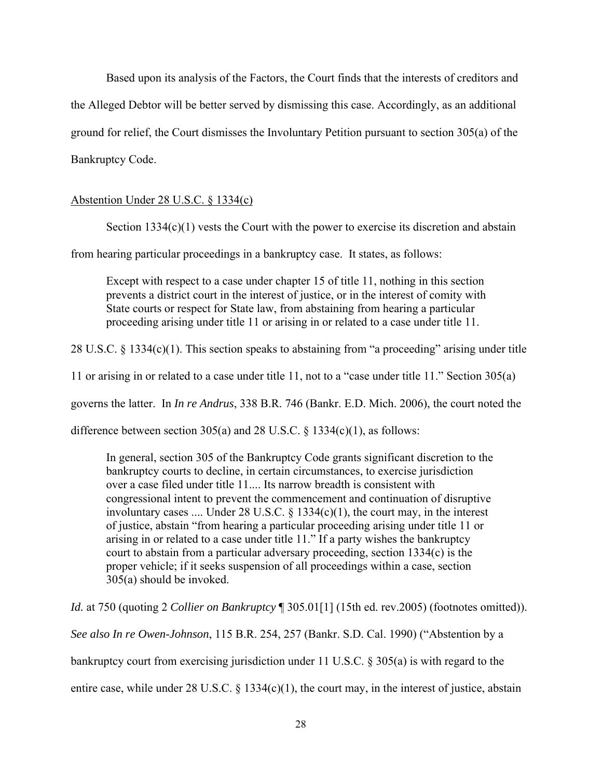Based upon its analysis of the Factors, the Court finds that the interests of creditors and the Alleged Debtor will be better served by dismissing this case. Accordingly, as an additional ground for relief, the Court dismisses the Involuntary Petition pursuant to section 305(a) of the Bankruptcy Code.

## Abstention Under 28 U.S.C. § 1334(c)

Section  $1334(c)(1)$  vests the Court with the power to exercise its discretion and abstain

from hearing particular proceedings in a bankruptcy case. It states, as follows:

Except with respect to a case under chapter 15 of title 11, nothing in this section prevents a district court in the interest of justice, or in the interest of comity with State courts or respect for State law, from abstaining from hearing a particular proceeding arising under title 11 or arising in or related to a case under title 11.

28 U.S.C. § 1334(c)(1). This section speaks to abstaining from "a proceeding" arising under title

11 or arising in or related to a case under title 11, not to a "case under title 11." Section 305(a)

governs the latter. In *In re Andrus*, 338 B.R. 746 (Bankr. E.D. Mich. 2006), the court noted the

difference between section 305(a) and 28 U.S.C.  $\S$  1334(c)(1), as follows:

In general, section 305 of the Bankruptcy Code grants significant discretion to the bankruptcy courts to decline, in certain circumstances, to exercise jurisdiction over a case filed under title 11.... Its narrow breadth is consistent with congressional intent to prevent the commencement and continuation of disruptive involuntary cases .... Under 28 U.S.C.  $\S$  1334(c)(1), the court may, in the interest of justice, abstain "from hearing a particular proceeding arising under title 11 or arising in or related to a case under title 11." If a party wishes the bankruptcy court to abstain from a particular adversary proceeding, section 1334(c) is the proper vehicle; if it seeks suspension of all proceedings within a case, section 305(a) should be invoked.

*Id.* at 750 (quoting 2 *Collier on Bankruptcy* ¶ 305.01[1] (15th ed. rev.2005) (footnotes omitted)). *See also In re Owen-Johnson*, 115 B.R. 254, 257 (Bankr. S.D. Cal. 1990) ("Abstention by a

bankruptcy court from exercising jurisdiction under 11 U.S.C. § 305(a) is with regard to the

entire case, while under 28 U.S.C.  $\S$  1334(c)(1), the court may, in the interest of justice, abstain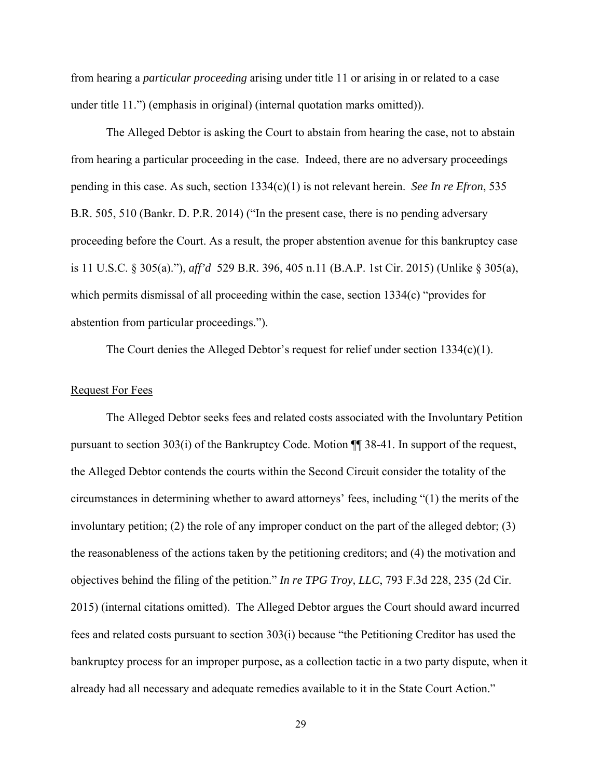from hearing a *particular proceeding* arising under title 11 or arising in or related to a case under title 11.") (emphasis in original) (internal quotation marks omitted)).

 The Alleged Debtor is asking the Court to abstain from hearing the case, not to abstain from hearing a particular proceeding in the case. Indeed, there are no adversary proceedings pending in this case. As such, section 1334(c)(1) is not relevant herein. *See In re Efron*, 535 B.R. 505, 510 (Bankr. D. P.R. 2014) ("In the present case, there is no pending adversary proceeding before the Court. As a result, the proper abstention avenue for this bankruptcy case is 11 U.S.C. § 305(a)."), *aff'd* 529 B.R. 396, 405 n.11 (B.A.P. 1st Cir. 2015) (Unlike § 305(a), which permits dismissal of all proceeding within the case, section 1334(c) "provides for abstention from particular proceedings.").

The Court denies the Alleged Debtor's request for relief under section 1334(c)(1).

#### Request For Fees

The Alleged Debtor seeks fees and related costs associated with the Involuntary Petition pursuant to section 303(i) of the Bankruptcy Code. Motion ¶¶ 38-41. In support of the request, the Alleged Debtor contends the courts within the Second Circuit consider the totality of the circumstances in determining whether to award attorneys' fees, including "(1) the merits of the involuntary petition; (2) the role of any improper conduct on the part of the alleged debtor; (3) the reasonableness of the actions taken by the petitioning creditors; and (4) the motivation and objectives behind the filing of the petition." *In re TPG Troy, LLC*, 793 F.3d 228, 235 (2d Cir. 2015) (internal citations omitted). The Alleged Debtor argues the Court should award incurred fees and related costs pursuant to section 303(i) because "the Petitioning Creditor has used the bankruptcy process for an improper purpose, as a collection tactic in a two party dispute, when it already had all necessary and adequate remedies available to it in the State Court Action."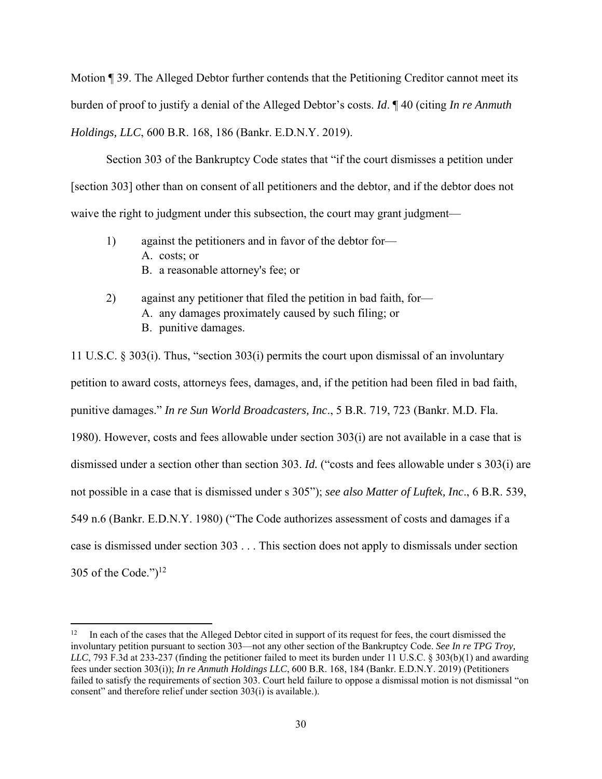Motion ¶ 39. The Alleged Debtor further contends that the Petitioning Creditor cannot meet its burden of proof to justify a denial of the Alleged Debtor's costs. *Id*. ¶ 40 (citing *In re Anmuth Holdings, LLC*, 600 B.R. 168, 186 (Bankr. E.D.N.Y. 2019).

Section 303 of the Bankruptcy Code states that "if the court dismisses a petition under [section 303] other than on consent of all petitioners and the debtor, and if the debtor does not waive the right to judgment under this subsection, the court may grant judgment—

- 1) against the petitioners and in favor of the debtor for— A. costs; or B. a reasonable attorney's fee; or
- 2) against any petitioner that filed the petition in bad faith, for— A. any damages proximately caused by such filing; or B. punitive damages.

11 U.S.C. § 303(i). Thus, "section 303(i) permits the court upon dismissal of an involuntary petition to award costs, attorneys fees, damages, and, if the petition had been filed in bad faith, punitive damages." *In re Sun World Broadcasters, Inc*., 5 B.R. 719, 723 (Bankr. M.D. Fla. 1980). However, costs and fees allowable under section 303(i) are not available in a case that is dismissed under a section other than section 303. *Id.* ("costs and fees allowable under s 303(i) are not possible in a case that is dismissed under s 305"); *see also Matter of Luftek, Inc*., 6 B.R. 539, 549 n.6 (Bankr. E.D.N.Y. 1980) ("The Code authorizes assessment of costs and damages if a case is dismissed under section 303 . . . This section does not apply to dismissals under section 305 of the Code.") $^{12}$ 

<sup>&</sup>lt;sup>12</sup> In each of the cases that the Alleged Debtor cited in support of its request for fees, the court dismissed the involuntary petition pursuant to section 303—not any other section of the Bankruptcy Code. *See In re TPG Troy, LLC*, 793 F.3d at 233-237 (finding the petitioner failed to meet its burden under 11 U.S.C. § 303(b)(1) and awarding fees under section 303(i)); *In re Anmuth Holdings LLC*, 600 B.R. 168, 184 (Bankr. E.D.N.Y. 2019) (Petitioners failed to satisfy the requirements of section 303. Court held failure to oppose a dismissal motion is not dismissal "on consent" and therefore relief under section 303(i) is available.).